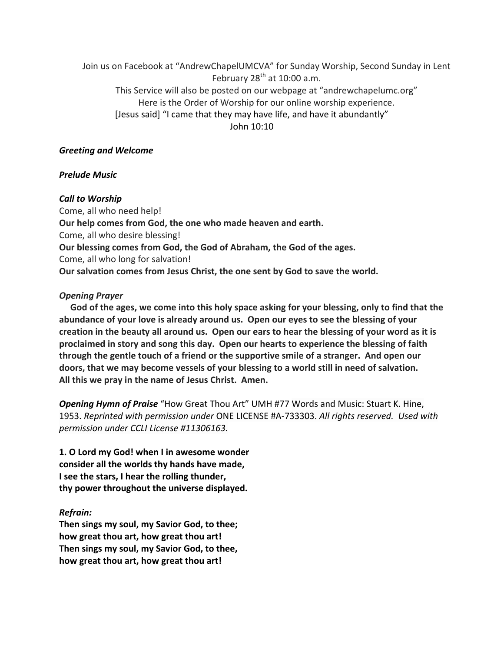Join us on Facebook at "AndrewChapelUMCVA" for Sunday Worship, Second Sunday in Lent February  $28^{th}$  at 10:00 a.m.

This Service will also be posted on our webpage at "andrewchapelumc.org" Here is the Order of Worship for our online worship experience. [Jesus said] "I came that they may have life, and have it abundantly" John 10:10

#### *Greeting and Welcome*

#### *Prelude Music*

### *Call to Worship*

Come, all who need help! **Our help comes from God, the one who made heaven and earth.** Come, all who desire blessing! **Our blessing comes from God, the God of Abraham, the God of the ages.** Come, all who long for salvation! **Our salvation comes from Jesus Christ, the one sent by God to save the world.**

#### *Opening Prayer*

God of the ages, we come into this holy space asking for your blessing, only to find that the abundance of your love is already around us. Open our eyes to see the blessing of your creation in the beauty all around us. Open our ears to hear the blessing of your word as it is proclaimed in story and song this day. Open our hearts to experience the blessing of faith **through the gentle touch of a friend or the supportive smile of a stranger. And open our** doors, that we may become vessels of your blessing to a world still in need of salvation. All this we pray in the name of Jesus Christ. Amen.

**Opening Hymn of Praise** "How Great Thou Art" UMH #77 Words and Music: Stuart K. Hine, 1953. Reprinted with permission under ONE LICENSE #A-733303. All rights reserved. Used with *permission under CCLI License #11306163.*

**1. O Lord my God! when I in awesome wonder** consider all the worlds thy hands have made, **I** see the stars, I hear the rolling thunder, thy power throughout the universe displayed.

#### *Refrain:*

Then sings my soul, my Savior God, to thee; how great thou art, how great thou art! Then sings my soul, my Savior God, to thee, how great thou art, how great thou art!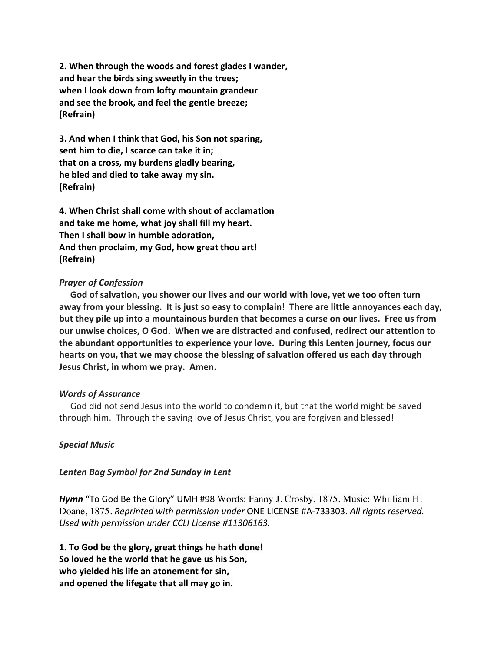**2. When through the woods and forest glades I wander,** and hear the birds sing sweetly in the trees; when I look down from lofty mountain grandeur and see the brook, and feel the gentle breeze; **(Refrain)**

**3. And when I think that God, his Son not sparing, sent him to die, I scarce can take it in;** that on a cross, my burdens gladly bearing, he bled and died to take away my sin. **(Refrain)**

**4. When Christ shall come with shout of acclamation** and take me home, what joy shall fill my heart. Then I shall bow in humble adoration, And then proclaim, my God, how great thou art! **(Refrain)** 

## *Prayer of Confession*

God of salvation, you shower our lives and our world with love, yet we too often turn away from your blessing. It is just so easy to complain! There are little annoyances each day, **but they pile up into a mountainous burden that becomes a curse on our lives. Free us from our unwise choices, O God. When we are distracted and confused, redirect our attention to** the abundant opportunities to experience your love. During this Lenten journey, focus our hearts on you, that we may choose the blessing of salvation offered us each day through **Jesus Christ, in whom we pray. Amen.** 

### *Words of Assurance*

God did not send Jesus into the world to condemn it, but that the world might be saved through him. Through the saving love of Jesus Christ, you are forgiven and blessed!

### *Special Music*

### **Lenten Bag Symbol for 2nd Sunday in Lent**

**Hymn** "To God Be the Glory" UMH #98 Words: Fanny J. Crosby, 1875. Music: Whilliam H. Doane, 1875. Reprinted with permission under ONE LICENSE #A-733303. All rights reserved. *Used with permission under CCLI License #11306163.*

**1.** To God be the glory, great things he hath done! So loved he the world that he gave us his Son, who yielded his life an atonement for sin, and opened the lifegate that all may go in.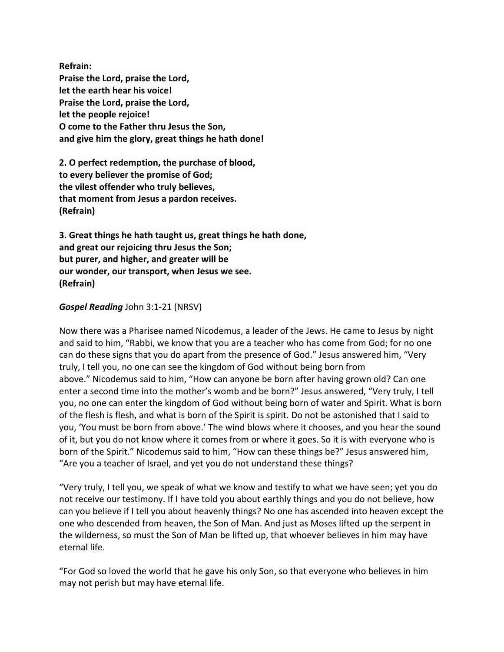**Refrain: Praise the Lord, praise the Lord,** let the earth hear his voice! Praise the Lord, praise the Lord, **let the people rejoice! O** come to the Father thru Jesus the Son, and give him the glory, great things he hath done!

**2. O perfect redemption, the purchase of blood,** to every believer the promise of God; **the vilest offender who truly believes,** that moment from Jesus a pardon receives. **(Refrain)**

**3.** Great things he hath taught us, great things he hath done, and great our rejoicing thru Jesus the Son; **but purer, and higher, and greater will be** our wonder, our transport, when Jesus we see. **(Refrain)**

## *Gospel Reading* John 3:1-21 (NRSV)

Now there was a Pharisee named Nicodemus, a leader of the Jews. He came to Jesus by night and said to him, "Rabbi, we know that you are a teacher who has come from God; for no one can do these signs that you do apart from the presence of God." Jesus answered him, "Very truly, I tell you, no one can see the kingdom of God without being born from above." Nicodemus said to him, "How can anyone be born after having grown old? Can one enter a second time into the mother's womb and be born?" Jesus answered, "Very truly, I tell you, no one can enter the kingdom of God without being born of water and Spirit. What is born of the flesh is flesh, and what is born of the Spirit is spirit. Do not be astonished that I said to you, 'You must be born from above.' The wind blows where it chooses, and you hear the sound of it, but you do not know where it comes from or where it goes. So it is with everyone who is born of the Spirit." Nicodemus said to him, "How can these things be?" Jesus answered him, "Are you a teacher of Israel, and yet you do not understand these things?

"Very truly, I tell you, we speak of what we know and testify to what we have seen; yet you do not receive our testimony. If I have told you about earthly things and you do not believe, how can you believe if I tell you about heavenly things? No one has ascended into heaven except the one who descended from heaven, the Son of Man. And just as Moses lifted up the serpent in the wilderness, so must the Son of Man be lifted up, that whoever believes in him may have eternal life.

"For God so loved the world that he gave his only Son, so that everyone who believes in him may not perish but may have eternal life.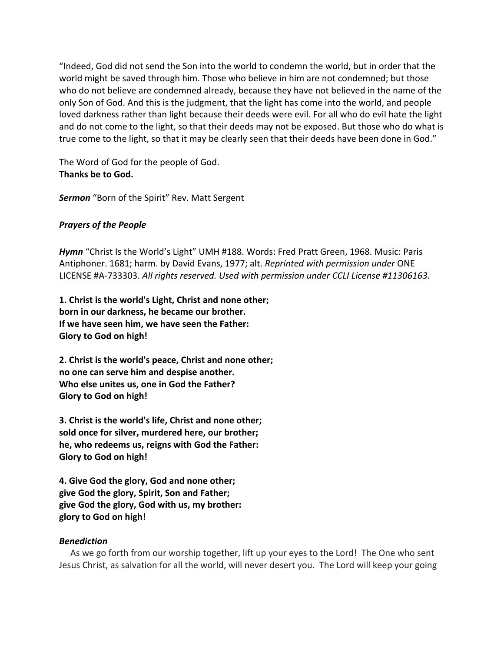"Indeed, God did not send the Son into the world to condemn the world, but in order that the world might be saved through him. Those who believe in him are not condemned; but those who do not believe are condemned already, because they have not believed in the name of the only Son of God. And this is the judgment, that the light has come into the world, and people loved darkness rather than light because their deeds were evil. For all who do evil hate the light and do not come to the light, so that their deeds may not be exposed. But those who do what is true come to the light, so that it may be clearly seen that their deeds have been done in God."

The Word of God for the people of God. Thanks be to God.

**Sermon** "Born of the Spirit" Rev. Matt Sergent

## **Prayers of the People**

Hymn "Christ Is the World's Light" UMH #188. Words: Fred Pratt Green, 1968. Music: Paris Antiphoner. 1681; harm. by David Evans, 1977; alt. *Reprinted with permission under* ONE LICENSE #A-733303. All rights reserved. Used with permission under CCLI License #11306163.

**1. Christ is the world's Light, Christ and none other; born in our darkness, he became our brother. If we have seen him, we have seen the Father: Glory to God on high!**

**2. Christ is the world's peace, Christ and none other; no one can serve him and despise another. Who else unites us, one in God the Father? Glory to God on high!** 

**3. Christ is the world's life, Christ and none other;** sold once for silver, murdered here, our brother; **he, who redeems us, reigns with God the Father: Glory to God on high!** 

**4. Give God the glory, God and none other;** give God the glory, Spirit, Son and Father; give God the glory, God with us, my brother: **glory to God on high!**

### *Benediction*

As we go forth from our worship together, lift up your eyes to the Lord! The One who sent Jesus Christ, as salvation for all the world, will never desert you. The Lord will keep your going